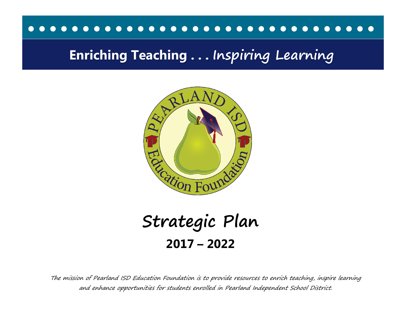# **Enriching Teaching . . . Inspiring Learning**



**Strategic Plan 2017 – 2022**

The mission of Pearland ISD Education Foundation is to provide resources to enrich teaching, inspire learning and enhance opportunities for students enrolled in Pearland Independent School District.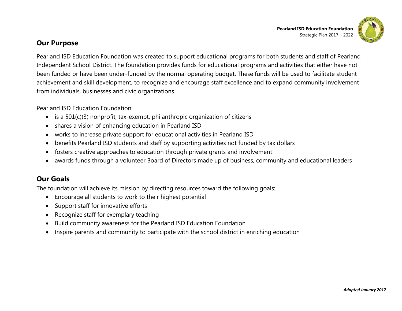



## **Our Purpose**

Pearland ISD Education Foundation was created to support educational programs for both students and staff of Pearland Independent School District. The foundation provides funds for educational programs and activities that either have not been funded or have been under-funded by the normal operating budget. These funds will be used to facilitate student achievement and skill development, to recognize and encourage staff excellence and to expand community involvement from individuals, businesses and civic organizations.

Pearland ISD Education Foundation:

- $\bullet$  is a 501(c)(3) nonprofit, tax-exempt, philanthropic organization of citizens
- shares a vision of enhancing education in Pearland ISD
- works to increase private support for educational activities in Pearland ISD
- benefits Pearland ISD students and staff by supporting activities not funded by tax dollars
- fosters creative approaches to education through private grants and involvement
- awards funds through a volunteer Board of Directors made up of business, community and educational leaders

## **Our Goals**

The foundation will achieve its mission by directing resources toward the following goals:

- Encourage all students to work to their highest potential
- Support staff for innovative efforts
- Recognize staff for exemplary teaching
- Build community awareness for the Pearland ISD Education Foundation
- Inspire parents and community to participate with the school district in enriching education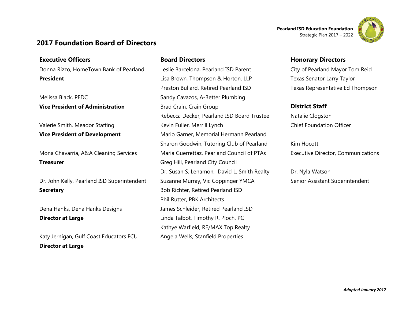

## **2017 Foundation Board of Directors**

#### **Executive Officers**

Donna Rizzo, HomeTown Bank of Pearland **President**

Melissa Black, PEDC **Vice President of Administration** 

Valerie Smith, Meador Staffing **Vice President of Development**

Mona Chavarria, A&A Cleaning Services **Treasurer**

Dr. John Kelly, Pearland ISD Superintendent **Secretary**

Dena Hanks, Dena Hanks Designs **Director at Large**

Katy Jernigan, Gulf Coast Educators FCU **Director at Large**

### **Board Directors**

Leslie Barcelona, Pearland ISD Parent Lisa Brown, Thompson & Horton, LLP Preston Bullard, Retired Pearland ISD Sandy Cavazos, A-Better Plumbing Brad Crain, Crain Group Rebecca Decker, Pearland ISD Board Trustee Kevin Fuller, Merrill Lynch Mario Garner, Memorial Hermann Pearland Sharon Goodwin, Tutoring Club of Pearland Maria Guerrettaz, Pearland Council of PTAs Greg Hill, Pearland City Council Dr. Susan S. Lenamon, David L. Smith Realty Suzanne Murray, Vic Coppinger YMCA Bob Richter, Retired Pearland ISD Phil Rutter, PBK Architects James Schleider, Retired Pearland ISD Linda Talbot, Timothy R. Ploch, PC Kathye Warfield, RE/MAX Top Realty Angela Wells, Stanfield Properties

#### **Honorary Directors**

City of Pearland Mayor Tom Reid Texas Senator Larry Taylor Texas Representative Ed Thompson

### **District Staff**

Natalie Clogston Chief Foundation Officer

Kim Hocott Executive Director, Communications

Dr. Nyla Watson Senior Assistant Superintendent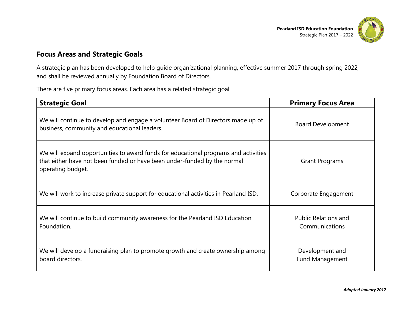

## **Focus Areas and Strategic Goals**

A strategic plan has been developed to help guide organizational planning, effective summer 2017 through spring 2022, and shall be reviewed annually by Foundation Board of Directors.

There are five primary focus areas. Each area has a related strategic goal.

| <b>Strategic Goal</b>                                                                                                                                                                | <b>Primary Focus Area</b>                     |
|--------------------------------------------------------------------------------------------------------------------------------------------------------------------------------------|-----------------------------------------------|
| We will continue to develop and engage a volunteer Board of Directors made up of<br>business, community and educational leaders.                                                     | <b>Board Development</b>                      |
| We will expand opportunities to award funds for educational programs and activities<br>that either have not been funded or have been under-funded by the normal<br>operating budget. | <b>Grant Programs</b>                         |
| We will work to increase private support for educational activities in Pearland ISD.                                                                                                 | Corporate Engagement                          |
| We will continue to build community awareness for the Pearland ISD Education<br>Foundation.                                                                                          | <b>Public Relations and</b><br>Communications |
| We will develop a fundraising plan to promote growth and create ownership among<br>board directors.                                                                                  | Development and<br><b>Fund Management</b>     |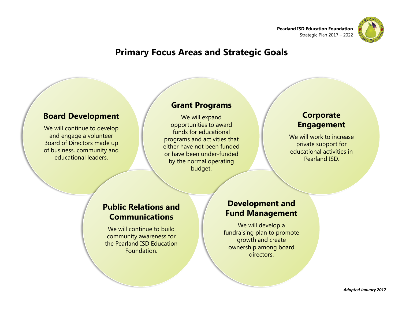

## **Primary Focus Areas and Strategic Goals**

## **Board Development**

We will continue to develop and engage a volunteer Board of Directors made up of business, community and educational leaders.

## **Grant Programs**

We will expand opportunities to award funds for educational programs and activities that either have not been funded or have been under-funded by the normal operating budget.

## **Corporate Engagement**

We will work to increase private support for educational activities in Pearland ISD.

## **Public Relations and Communications**

We will continue to build community awareness for the Pearland ISD Education Foundation.

## **Development and Fund Management**

We will develop a fundraising plan to promote growth and create ownership among board directors.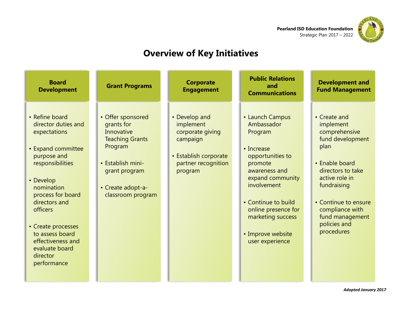

## **Overview of Key Initiatives**

| <b>Board</b><br><b>Development</b>                                                                                                                                                                                                                                                                            | <b>Grant Programs</b>                                                                                                                                              | <b>Corporate</b><br><b>Engagement</b>                                                                                 | <b>Public Relations</b><br>and<br><b>Communications</b>                                                                                                                                                                                                    | <b>Development and</b><br><b>Fund Management</b>                                                                                                                                                                                           |
|---------------------------------------------------------------------------------------------------------------------------------------------------------------------------------------------------------------------------------------------------------------------------------------------------------------|--------------------------------------------------------------------------------------------------------------------------------------------------------------------|-----------------------------------------------------------------------------------------------------------------------|------------------------------------------------------------------------------------------------------------------------------------------------------------------------------------------------------------------------------------------------------------|--------------------------------------------------------------------------------------------------------------------------------------------------------------------------------------------------------------------------------------------|
| • Refine board<br>director duties and<br>expectations<br>• Expand committee<br>purpose and<br>responsibilities<br>• Develop<br>nomination<br>process for board<br>directors and<br><b>officers</b><br>• Create processes<br>to assess board<br>effectiveness and<br>evaluate board<br>director<br>performance | • Offer sponsored<br>grants for<br>Innovative<br><b>Teaching Grants</b><br>Program<br>• Establish mini-<br>grant program<br>• Create adopt-a-<br>classroom program | • Develop and<br>implement<br>corporate giving<br>campaign<br>• Establish corporate<br>partner recognition<br>program | • Launch Campus<br>Ambassador<br>Program<br>$\cdot$ Increase<br>opportunities to<br>promote<br>awareness and<br>expand community<br>involvement<br>• Continue to build<br>online presence for<br>marketing success<br>• Improve website<br>user experience | • Create and<br>implement<br>comprehensive<br>fund development<br>plan<br>• Enable board<br>directors to take<br>active role in<br>fundraising<br>• Continue to ensure<br>compliance with<br>fund management<br>policies and<br>procedures |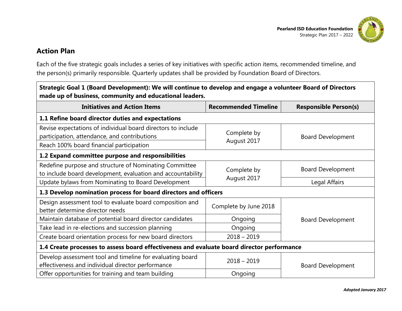



## **Action Plan**

Each of the five strategic goals includes a series of key initiatives with specific action items, recommended timeline, and the person(s) primarily responsible. Quarterly updates shall be provided by Foundation Board of Directors.

| Strategic Goal 1 (Board Development): We will continue to develop and engage a volunteer Board of Directors<br>made up of business, community and educational leaders. |                             |                              |  |
|------------------------------------------------------------------------------------------------------------------------------------------------------------------------|-----------------------------|------------------------------|--|
| <b>Initiatives and Action Items</b>                                                                                                                                    | <b>Recommended Timeline</b> | <b>Responsible Person(s)</b> |  |
| 1.1 Refine board director duties and expectations                                                                                                                      |                             |                              |  |
| Revise expectations of individual board directors to include<br>participation, attendance, and contributions                                                           | Complete by                 | <b>Board Development</b>     |  |
| Reach 100% board financial participation                                                                                                                               | August 2017                 |                              |  |
| 1.2 Expand committee purpose and responsibilities                                                                                                                      |                             |                              |  |
| Redefine purpose and structure of Nominating Committee<br>to include board development, evaluation and accountability                                                  | Complete by<br>August 2017  | <b>Board Development</b>     |  |
| Update bylaws from Nominating to Board Development                                                                                                                     |                             | Legal Affairs                |  |
| 1.3 Develop nomination process for board directors and officers                                                                                                        |                             |                              |  |
| Design assessment tool to evaluate board composition and<br>better determine director needs                                                                            | Complete by June 2018       |                              |  |
| Maintain database of potential board director candidates                                                                                                               | Ongoing                     | <b>Board Development</b>     |  |
| Take lead in re-elections and succession planning                                                                                                                      | Ongoing                     |                              |  |
| Create board orientation process for new board directors                                                                                                               | $2018 - 2019$               |                              |  |
| 1.4 Create processes to assess board effectiveness and evaluate board director performance                                                                             |                             |                              |  |
| Develop assessment tool and timeline for evaluating board<br>effectiveness and individual director performance                                                         | $2018 - 2019$               | <b>Board Development</b>     |  |
| Offer opportunities for training and team building                                                                                                                     | Ongoing                     |                              |  |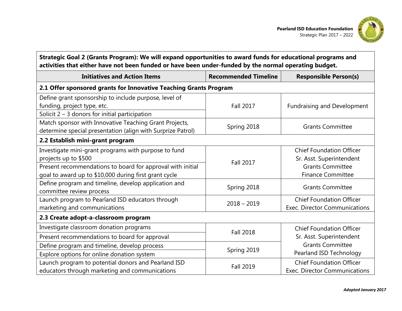



### **Strategic Goal 2 (Grants Program): We will expand opportunities to award funds for educational programs and activities that either have not been funded or have been under-funded by the normal operating budget.**

| <b>Initiatives and Action Items</b>                                                                                                                                                                 | <b>Recommended Timeline</b> | <b>Responsible Person(s)</b>                                                                                       |  |
|-----------------------------------------------------------------------------------------------------------------------------------------------------------------------------------------------------|-----------------------------|--------------------------------------------------------------------------------------------------------------------|--|
| 2.1 Offer sponsored grants for Innovative Teaching Grants Program                                                                                                                                   |                             |                                                                                                                    |  |
| Define grant sponsorship to include purpose, level of<br>funding, project type, etc.<br>Solicit $2 - 3$ donors for initial participation                                                            | <b>Fall 2017</b>            | <b>Fundraising and Development</b>                                                                                 |  |
| Match sponsor with Innovative Teaching Grant Projects,<br>determine special presentation (align with Surprize Patrol)                                                                               | Spring 2018                 | <b>Grants Committee</b>                                                                                            |  |
| 2.2 Establish mini-grant program                                                                                                                                                                    |                             |                                                                                                                    |  |
| Investigate mini-grant programs with purpose to fund<br>projects up to \$500<br>Present recommendations to board for approval with initial<br>goal to award up to \$10,000 during first grant cycle | <b>Fall 2017</b>            | <b>Chief Foundation Officer</b><br>Sr. Asst. Superintendent<br><b>Grants Committee</b><br><b>Finance Committee</b> |  |
| Define program and timeline, develop application and<br>committee review process                                                                                                                    | Spring 2018                 | <b>Grants Committee</b>                                                                                            |  |
| Launch program to Pearland ISD educators through<br>marketing and communications                                                                                                                    | $2018 - 2019$               | <b>Chief Foundation Officer</b><br><b>Exec. Director Communications</b>                                            |  |
| 2.3 Create adopt-a-classroom program                                                                                                                                                                |                             |                                                                                                                    |  |
| Investigate classroom donation programs                                                                                                                                                             | <b>Fall 2018</b>            | <b>Chief Foundation Officer</b>                                                                                    |  |
| Present recommendations to board for approval                                                                                                                                                       |                             | Sr. Asst. Superintendent                                                                                           |  |
| Define program and timeline, develop process<br>Explore options for online donation system                                                                                                          | Spring 2019                 | <b>Grants Committee</b><br>Pearland ISD Technology                                                                 |  |
| Launch program to potential donors and Pearland ISD<br>educators through marketing and communications                                                                                               | <b>Fall 2019</b>            | <b>Chief Foundation Officer</b><br><b>Exec. Director Communications</b>                                            |  |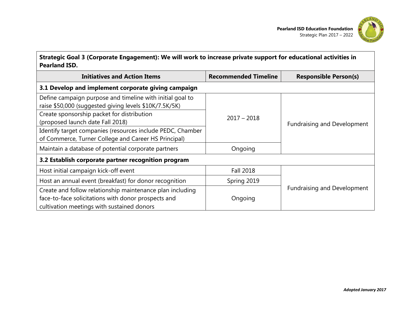



**Strategic Goal 3 (Corporate Engagement): We will work to increase private support for educational activities in Pearland ISD.**

| <b>Initiatives and Action Items</b>                                                                                                                            | <b>Recommended Timeline</b> | <b>Responsible Person(s)</b>       |  |
|----------------------------------------------------------------------------------------------------------------------------------------------------------------|-----------------------------|------------------------------------|--|
| 3.1 Develop and implement corporate giving campaign                                                                                                            |                             |                                    |  |
| Define campaign purpose and timeline with initial goal to<br>raise \$50,000 (suggested giving levels \$10K/7.5K/5K)                                            |                             |                                    |  |
| Create sponsorship packet for distribution<br>(proposed launch date Fall 2018)                                                                                 | $2017 - 2018$               | <b>Fundraising and Development</b> |  |
| Identify target companies (resources include PEDC, Chamber<br>of Commerce, Turner College and Career HS Principal)                                             |                             |                                    |  |
| Maintain a database of potential corporate partners                                                                                                            | Ongoing                     |                                    |  |
| 3.2 Establish corporate partner recognition program                                                                                                            |                             |                                    |  |
| Host initial campaign kick-off event                                                                                                                           | <b>Fall 2018</b>            |                                    |  |
| Host an annual event (breakfast) for donor recognition                                                                                                         | Spring 2019                 |                                    |  |
| Create and follow relationship maintenance plan including<br>face-to-face solicitations with donor prospects and<br>cultivation meetings with sustained donors | Ongoing                     | <b>Fundraising and Development</b> |  |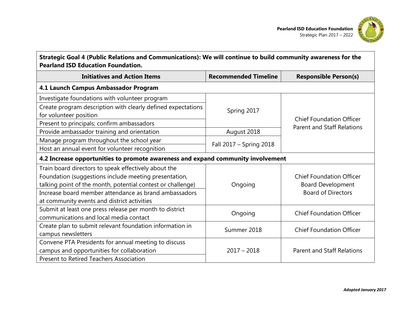



| Strategic Goal 4 (Public Relations and Communications): We will continue to build community awareness for the<br><b>Pearland ISD Education Foundation.</b> |                             |                                                                      |  |
|------------------------------------------------------------------------------------------------------------------------------------------------------------|-----------------------------|----------------------------------------------------------------------|--|
| <b>Initiatives and Action Items</b>                                                                                                                        | <b>Recommended Timeline</b> | <b>Responsible Person(s)</b>                                         |  |
| 4.1 Launch Campus Ambassador Program                                                                                                                       |                             |                                                                      |  |
| Investigate foundations with volunteer program                                                                                                             |                             |                                                                      |  |
| Create program description with clearly defined expectations<br>for volunteer position                                                                     | Spring 2017                 | <b>Chief Foundation Officer</b><br><b>Parent and Staff Relations</b> |  |
| Present to principals; confirm ambassadors                                                                                                                 |                             |                                                                      |  |
| Provide ambassador training and orientation                                                                                                                | August 2018                 |                                                                      |  |
| Manage program throughout the school year                                                                                                                  | Fall 2017 - Spring 2018     |                                                                      |  |
| Host an annual event for volunteer recognition                                                                                                             |                             |                                                                      |  |
| 4.2 Increase opportunities to promote awareness and expand community involvement                                                                           |                             |                                                                      |  |
| Train board directors to speak effectively about the                                                                                                       |                             |                                                                      |  |
| Foundation (suggestions include meeting presentation,                                                                                                      |                             | <b>Chief Foundation Officer</b>                                      |  |
| talking point of the month, potential contest or challenge)                                                                                                | Ongoing                     | <b>Board Development</b>                                             |  |
| Increase board member attendance as brand ambassadors                                                                                                      |                             | <b>Board of Directors</b>                                            |  |
| at community events and district activities                                                                                                                |                             |                                                                      |  |
| Submit at least one press release per month to district                                                                                                    | Ongoing                     | <b>Chief Foundation Officer</b>                                      |  |
| communications and local media contact                                                                                                                     |                             |                                                                      |  |
| Create plan to submit relevant foundation information in                                                                                                   | Summer 2018                 | <b>Chief Foundation Officer</b>                                      |  |
| campus newsletters                                                                                                                                         |                             |                                                                      |  |
| Convene PTA Presidents for annual meeting to discuss                                                                                                       |                             |                                                                      |  |
| campus and opportunities for collaboration                                                                                                                 | $2017 - 2018$               | <b>Parent and Staff Relations</b>                                    |  |
| <b>Present to Retired Teachers Association</b>                                                                                                             |                             |                                                                      |  |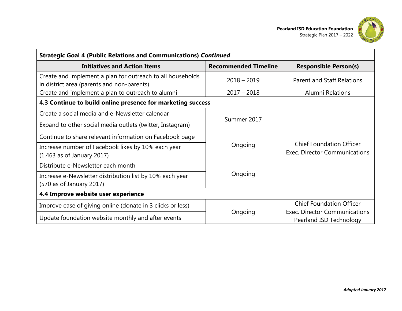

| <b>Strategic Goal 4 (Public Relations and Communications) Continued</b>                                  |                             |                                                                  |  |
|----------------------------------------------------------------------------------------------------------|-----------------------------|------------------------------------------------------------------|--|
| <b>Initiatives and Action Items</b>                                                                      | <b>Recommended Timeline</b> | <b>Responsible Person(s)</b>                                     |  |
| Create and implement a plan for outreach to all households<br>in district area (parents and non-parents) | $2018 - 2019$               | <b>Parent and Staff Relations</b>                                |  |
| Create and implement a plan to outreach to alumni                                                        | $2017 - 2018$               | Alumni Relations                                                 |  |
| 4.3 Continue to build online presence for marketing success                                              |                             |                                                                  |  |
| Create a social media and e-Newsletter calendar                                                          | Summer 2017                 | <b>Chief Foundation Officer</b><br>Exec. Director Communications |  |
| Expand to other social media outlets (twitter, Instagram)                                                |                             |                                                                  |  |
| Continue to share relevant information on Facebook page                                                  |                             |                                                                  |  |
| Increase number of Facebook likes by 10% each year<br>$(1,463$ as of January 2017)                       | Ongoing                     |                                                                  |  |
| Distribute e-Newsletter each month                                                                       |                             |                                                                  |  |
| Increase e-Newsletter distribution list by 10% each year<br>(570 as of January 2017)                     | Ongoing                     |                                                                  |  |
| 4.4 Improve website user experience                                                                      |                             |                                                                  |  |
| Improve ease of giving online (donate in 3 clicks or less)                                               |                             | <b>Chief Foundation Officer</b>                                  |  |
| Update foundation website monthly and after events                                                       | Ongoing                     | Exec. Director Communications<br>Pearland ISD Technology         |  |